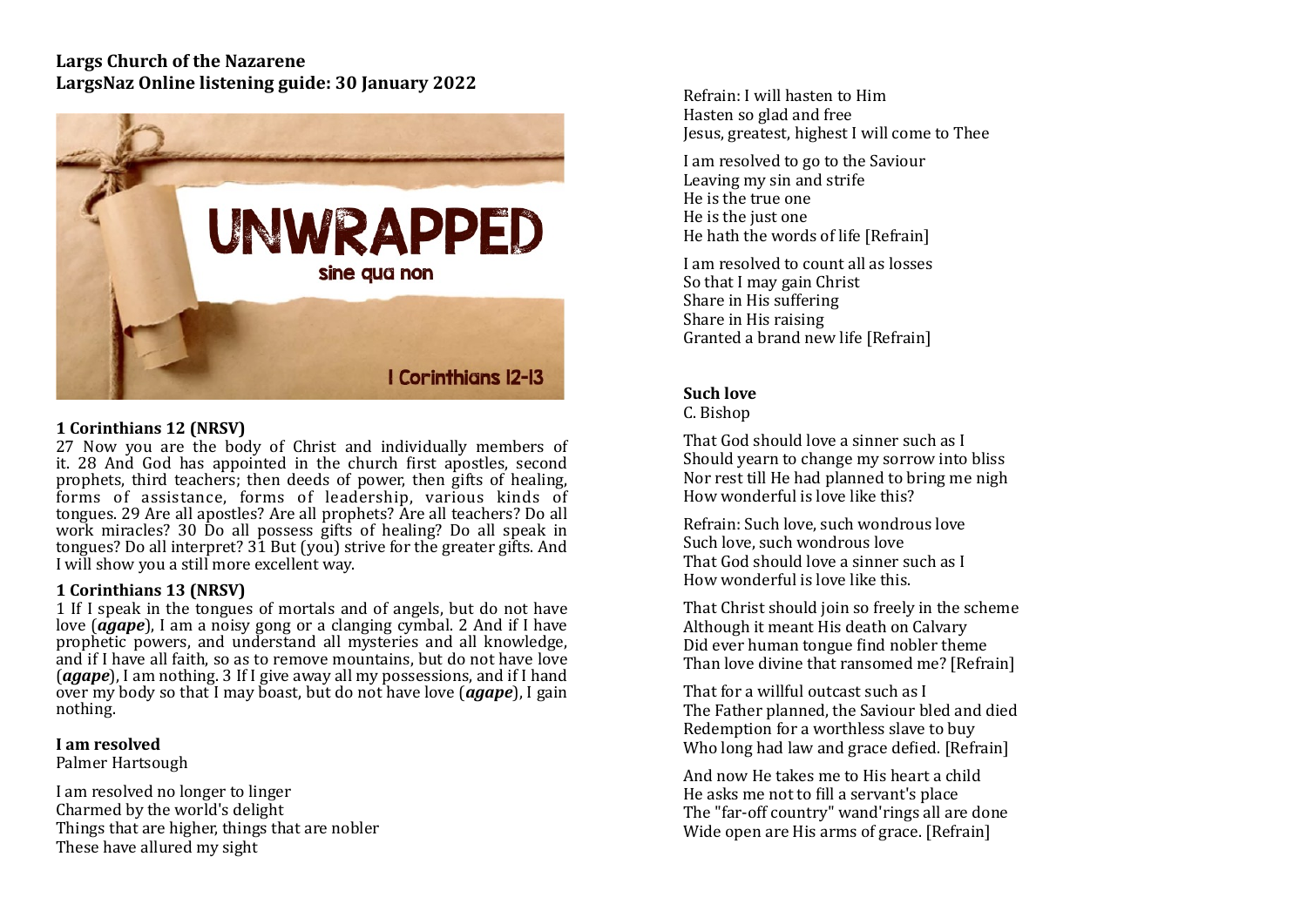# **Largs Church of the Nazarene** LargsNaz Online listening guide: 30 January 2022



# **1 Corinthians 12 (NRSV)**

27 Now you are the body of Christ and individually members of it. 28 And God has appointed in the church first apostles, second prophets, third teachers; then deeds of power, then gifts of healing, forms of assistance, forms of leadership, various kinds of tongues. 29 Are all apostles? Are all prophets? Are all teachers? Do all work miracles? 30 Do all possess gifts of healing? Do all speak in tongues? Do all interpret?  $3\overline{1}$  But (you) strive for the greater gifts. And I will show you a still more excellent way.

## **1** Corinthians **13** (NRSV)

1 If I speak in the tongues of mortals and of angels, but do not have love (*agape*), I am a noisy gong or a clanging cymbal. 2 And if I have prophetic powers, and understand all mysteries and all knowledge, and if I have all faith, so as to remove mountains, but do not have love (*agape*), I am nothing. 3 If I give away all my possessions, and if I hand over my body so that I may boast, but do not have love (*agape*), I gain nothing.

#### **I** am resolved

Palmer Hartsough

I am resolved no longer to linger Charmed by the world's delight Things that are higher, things that are nobler These have allured my sight

Refrain: I will hasten to Him Hasten so glad and free Jesus, greatest, highest I will come to Thee

I am resolved to go to the Saviour Leaving my sin and strife He is the true one He is the just one He hath the words of life [Refrain]

I am resolved to count all as losses So that I may gain Christ Share in His suffering Share in His raising Granted a brand new life [Refrain]

# **Such love**

C. Bishop 

That God should love a sinner such as I Should vearn to change my sorrow into bliss Nor rest till He had planned to bring me nigh How wonderful is love like this?

Refrain: Such love, such wondrous love Such love, such wondrous love That God should love a sinner such as I How wonderful is love like this.

That Christ should join so freely in the scheme Although it meant His death on Calvary Did ever human tongue find nobler theme Than love divine that ransomed me? [Refrain]

That for a willful outcast such as I The Father planned, the Saviour bled and died Redemption for a worthless slave to buy Who long had law and grace defied. [Refrain]

And now He takes me to His heart a child He asks me not to fill a servant's place The "far-off country" wand'rings all are done Wide open are His arms of grace. [Refrain]